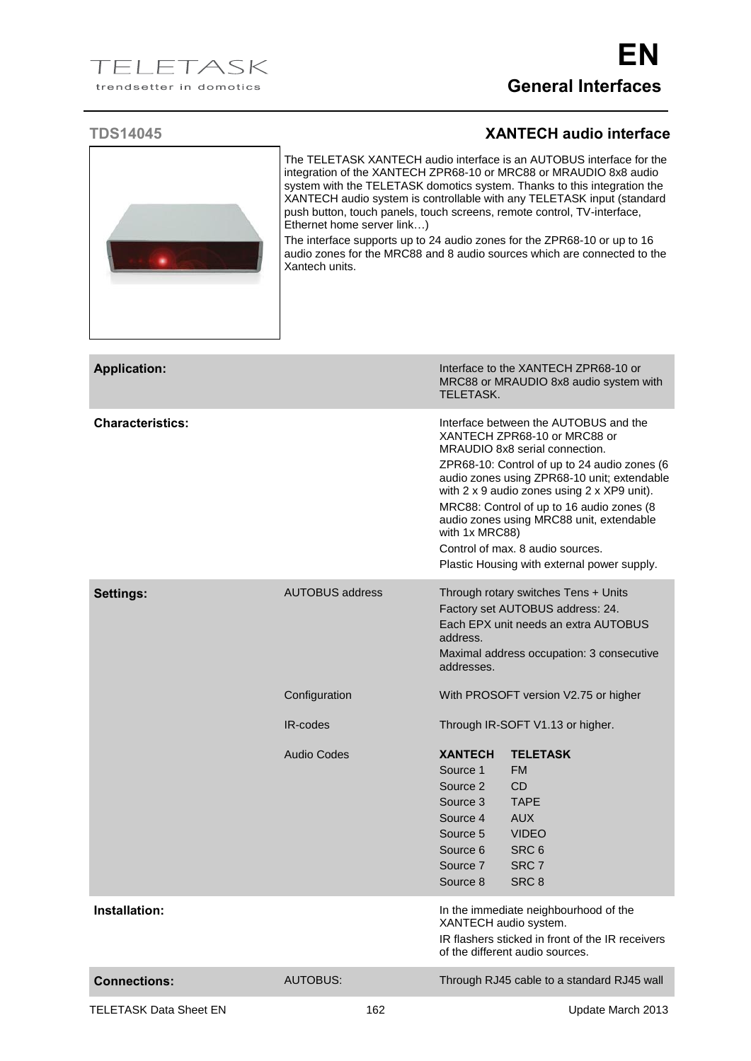## **TDS14045 XANTECH audio interface**



The TELETASK XANTECH audio interface is an AUTOBUS interface for the integration of the XANTECH ZPR68-10 or MRC88 or MRAUDIO 8x8 audio system with the TELETASK domotics system. Thanks to this integration the XANTECH audio system is controllable with any TELETASK input (standard push button, touch panels, touch screens, remote control, TV-interface, Ethernet home server link…)

The interface supports up to 24 audio zones for the ZPR68-10 or up to 16 audio zones for the MRC88 and 8 audio sources which are connected to the Xantech units.

| <b>Application:</b>           |                                              | TELETASK.                                                                                                      | Interface to the XANTECH ZPR68-10 or<br>MRC88 or MRAUDIO 8x8 audio system with                                                                                                                                                                                                                                                                                                                                                    |
|-------------------------------|----------------------------------------------|----------------------------------------------------------------------------------------------------------------|-----------------------------------------------------------------------------------------------------------------------------------------------------------------------------------------------------------------------------------------------------------------------------------------------------------------------------------------------------------------------------------------------------------------------------------|
| <b>Characteristics:</b>       |                                              | with 1x MRC88)                                                                                                 | Interface between the AUTOBUS and the<br>XANTECH ZPR68-10 or MRC88 or<br>MRAUDIO 8x8 serial connection.<br>ZPR68-10: Control of up to 24 audio zones (6<br>audio zones using ZPR68-10 unit; extendable<br>with 2 x 9 audio zones using 2 x XP9 unit).<br>MRC88: Control of up to 16 audio zones (8<br>audio zones using MRC88 unit, extendable<br>Control of max. 8 audio sources.<br>Plastic Housing with external power supply. |
| Settings:                     | <b>AUTOBUS address</b>                       | address.<br>addresses.                                                                                         | Through rotary switches Tens + Units<br>Factory set AUTOBUS address: 24.<br>Each EPX unit needs an extra AUTOBUS<br>Maximal address occupation: 3 consecutive                                                                                                                                                                                                                                                                     |
|                               | Configuration                                |                                                                                                                | With PROSOFT version V2.75 or higher                                                                                                                                                                                                                                                                                                                                                                                              |
|                               | IR-codes<br>Through IR-SOFT V1.13 or higher. |                                                                                                                |                                                                                                                                                                                                                                                                                                                                                                                                                                   |
|                               | <b>Audio Codes</b>                           | <b>XANTECH</b><br>Source 1<br>Source 2<br>Source 3<br>Source 4<br>Source 5<br>Source 6<br>Source 7<br>Source 8 | <b>TELETASK</b><br><b>FM</b><br><b>CD</b><br><b>TAPE</b><br><b>AUX</b><br><b>VIDEO</b><br>SRC <sub>6</sub><br>SRC <sub>7</sub><br>SRC <sub>8</sub>                                                                                                                                                                                                                                                                                |
| Installation:                 |                                              | XANTECH audio system.                                                                                          | In the immediate neighbourhood of the<br>IR flashers sticked in front of the IR receivers<br>of the different audio sources.                                                                                                                                                                                                                                                                                                      |
| <b>Connections:</b>           | <b>AUTOBUS:</b>                              |                                                                                                                | Through RJ45 cable to a standard RJ45 wall                                                                                                                                                                                                                                                                                                                                                                                        |
| <b>TELETASK Data Sheet EN</b> | 162                                          |                                                                                                                | Update March 2013                                                                                                                                                                                                                                                                                                                                                                                                                 |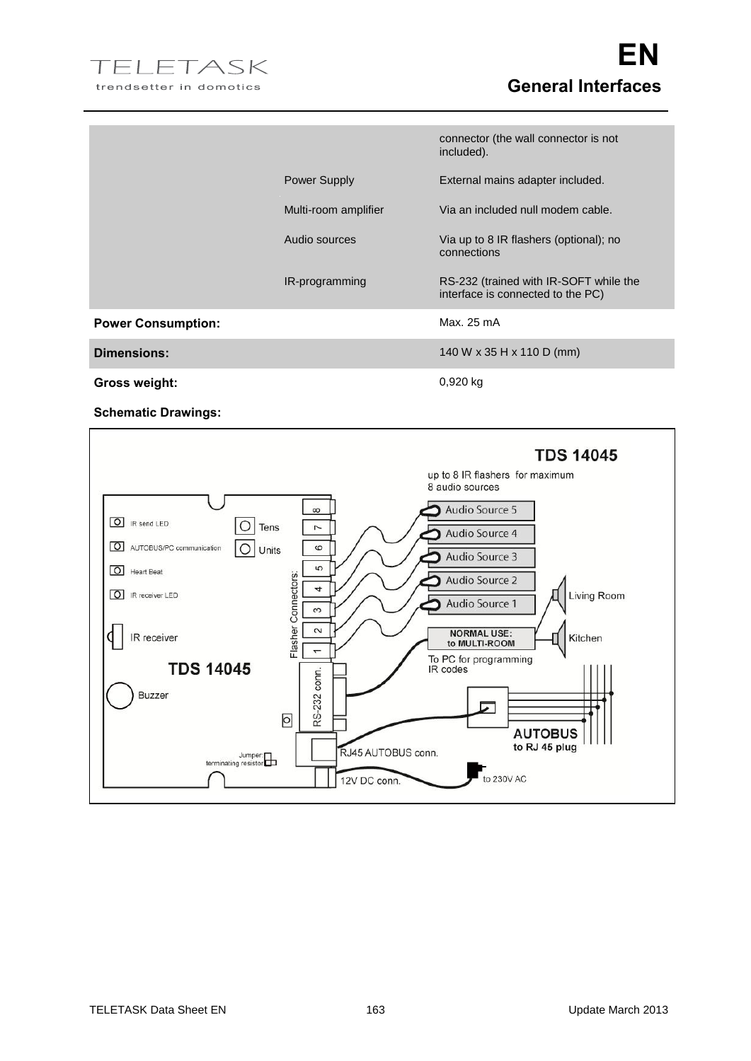

|                           |                      | connector (the wall connector is not<br>included).                          |
|---------------------------|----------------------|-----------------------------------------------------------------------------|
|                           | <b>Power Supply</b>  | External mains adapter included.                                            |
|                           | Multi-room amplifier | Via an included null modem cable.                                           |
|                           | Audio sources        | Via up to 8 IR flashers (optional); no<br>connections                       |
|                           | IR-programming       | RS-232 (trained with IR-SOFT while the<br>interface is connected to the PC) |
| <b>Power Consumption:</b> |                      | Max. 25 mA                                                                  |
| <b>Dimensions:</b>        |                      | 140 W x 35 H x 110 D (mm)                                                   |
| <b>Gross weight:</b>      |                      | $0,920$ kg                                                                  |

**Schematic Drawings:**